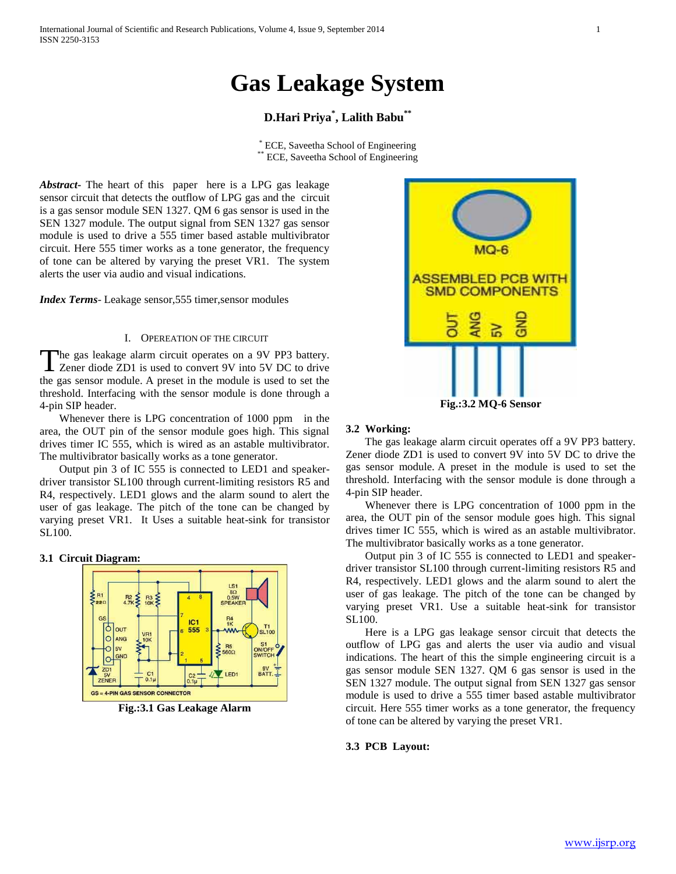# **Gas Leakage System**

# **D.Hari Priya\* , Lalith Babu\*\***

\* ECE, Saveetha School of Engineering \*\* ECE, Saveetha School of Engineering

*Abstract***-** The heart of this paper here is a LPG gas leakage sensor circuit that detects the outflow of LPG gas and the circuit is a gas sensor module SEN 1327. QM 6 gas sensor is used in the SEN 1327 module. The output signal from SEN 1327 gas sensor module is used to drive a 555 timer based astable multivibrator circuit. Here 555 timer works as a tone generator, the frequency of tone can be altered by varying the preset VR1. The system alerts the user via audio and visual indications.

*Index Terms*- Leakage sensor, 555 timer, sensor modules

# I. OPEREATION OF THE CIRCUIT

The gas leakage alarm circuit operates on a 9V PP3 battery. The gas leakage alarm circuit operates on a 9V PP3 battery.<br>Zener diode ZD1 is used to convert 9V into 5V DC to drive the gas sensor module. A preset in the module is used to set the threshold. Interfacing with the sensor module is done through a 4-pin SIP header.

 Whenever there is LPG concentration of 1000 ppm in the area, the OUT pin of the sensor module goes high. This signal drives timer IC 555, which is wired as an astable multivibrator. The multivibrator basically works as a tone generator.

 Output pin 3 of IC 555 is connected to LED1 and speakerdriver transistor SL100 through current-limiting resistors R5 and R4, respectively. LED1 glows and the alarm sound to alert the user of gas leakage. The pitch of the tone can be changed by varying preset VR1. It Uses a suitable heat-sink for transistor SL100.

**3.1 Cir[cuit Diagram:](http://electroschematics.com/wp-content/uploads/2012/02/gas-leak-detector-schematic.jpg)**



**Fig.:3.1 Gas Leakage Alarm**



### **3.2 Working:**

 The gas leakage alarm circuit operates off a 9V PP3 battery. Zener diode ZD1 is used to convert 9V into 5V DC to drive the gas sensor module. A preset in the module is used to set the threshold. Interfacing with the sensor module is done through a 4-pin SIP header.

 Whenever there is LPG concentration of 1000 ppm in the area, the OUT pin of the sensor module goes high. This signal drives timer IC 555, which is wired as an astable multivibrator. The multivibrator basically works as a tone generator.

 Output pin 3 of IC 555 is connected to LED1 and speakerdriver transistor SL100 through current-limiting resistors R5 and R4, respectively. LED1 glows and the alarm sound to alert the user of gas leakage. The pitch of the tone can be changed by varying preset VR1. Use a suitable heat-sink for transistor SL100.

 Here is a LPG gas leakage sensor circuit that detects the outflow of LPG gas and alerts the user via audio and visual indications. The heart of this the simple engineering circuit is a gas sensor module SEN 1327. QM 6 gas sensor is used in the SEN 1327 module. The output signal from SEN 1327 gas sensor module is used to drive a 555 timer based astable multivibrator circuit. Here 555 timer works as a tone generator, the frequency of tone can be altered by varying the preset VR1.

#### **3.3 PCB Layout:**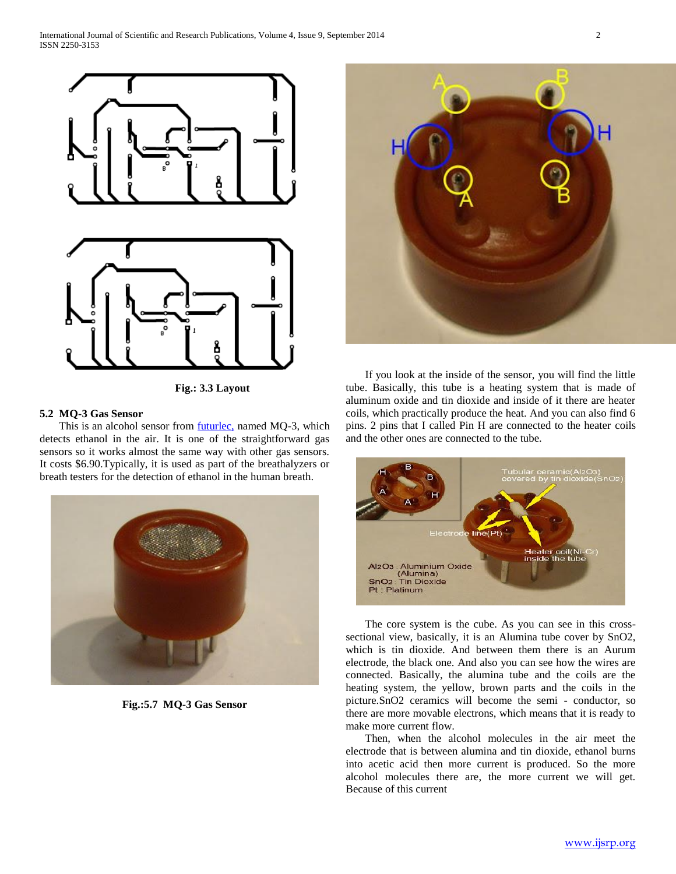

 **Fig.: 3.3 Layout** 

# **5.2 MQ-3 Gas Sensor**

This is an alcohol sensor from **futurlec**, named MQ-3, which detects ethanol in the air. It is one of the straightforward gas sensors so it works almost the same way with other gas sensors. It costs \$6.90.Typically, it is used as part of the breathalyzers or breath testers for the detection of ethanol in the human breath.



**Fig.:5.7 MQ-3 Gas Sensor**



 If you look at the inside of the sensor, you will find the little tube. Basically, this tube is a heating system that is made of aluminum oxide and tin dioxide and inside of it there are heater coils, which practically produce the heat. And you can also find 6 pins. 2 pins that I called Pin H are connected to the heater coils and the other ones are connected to the tube.



 The core system is the cube. As you can see in this crosssectional view, basically, it is an Alumina tube cover by SnO2, which is tin dioxide. And between them there is an Aurum electrode, the black one. And also you can see how the wires are connected. Basically, the alumina tube and the coils are the heating system, the yellow, brown parts and the coils in the picture.SnO2 ceramics will become the semi - conductor, so there are more movable electrons, which means that it is ready to make more current flow.

 Then, when the alcohol molecules in the air meet the electrode that is between alumina and tin dioxide, ethanol burns into acetic acid then more current is produced. So the more alcohol molecules there are, the more current we will get. Because of this current